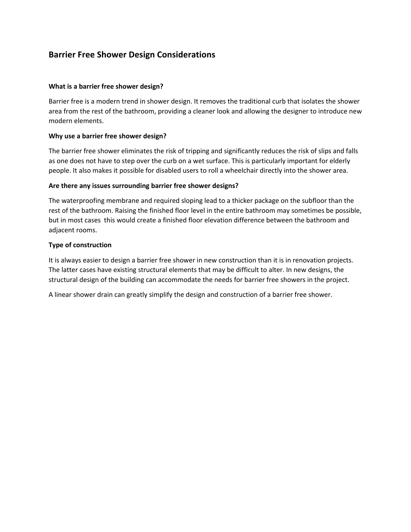# **Barrier Free Shower Design Considerations**

### **What is a barrier free shower design?**

Barrier free is a modern trend in shower design. It removes the traditional curb that isolates the shower area from the rest of the bathroom, providing a cleaner look and allowing the designer to introduce new modern elements.

# **Why use a barrier free shower design?**

The barrier free shower eliminates the risk of tripping and significantly reduces the risk of slips and falls as one does not have to step over the curb on a wet surface. This is particularly important for elderly people. It also makes it possible for disabled users to roll a wheelchair directly into the shower area.

# **Are there any issues surrounding barrier free shower designs?**

The waterproofing membrane and required sloping lead to a thicker package on the subfloor than the rest of the bathroom. Raising the finished floor level in the entire bathroom may sometimes be possible, but in most cases this would create a finished floor elevation difference between the bathroom and adjacent rooms.

# **Type of construction**

It is always easier to design a barrier free shower in new construction than it is in renovation projects. The latter cases have existing structural elements that may be difficult to alter. In new designs, the structural design of the building can accommodate the needs for barrier free showers in the project.

A linear shower drain can greatly simplify the design and construction of a barrier free shower.